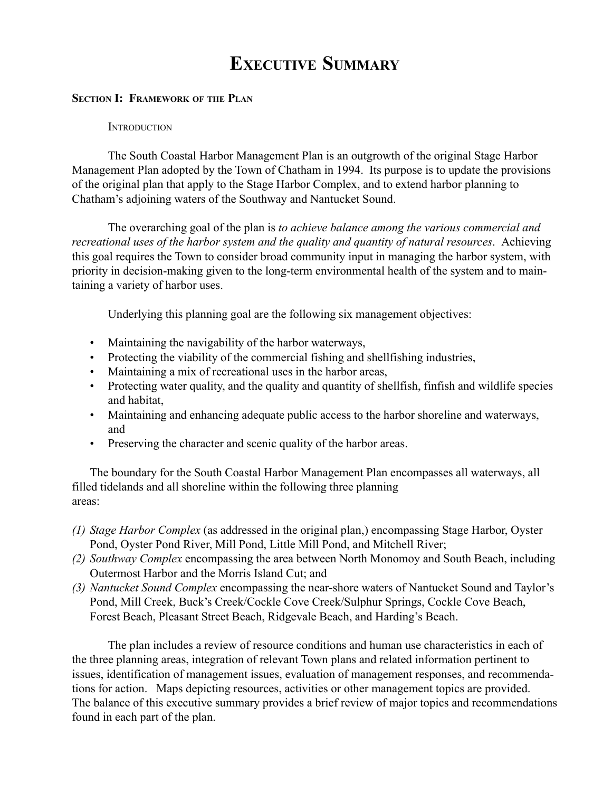# EXECUTIVE SUMMARY

#### SECTION I: FRAMEWORK OF THE PLAN

#### **INTRODUCTION**

The South Coastal Harbor Management Plan is an outgrowth of the original Stage Harbor Management Plan adopted by the Town of Chatham in 1994. Its purpose is to update the provisions of the original plan that apply to the Stage Harbor Complex, and to extend harbor planning to Chathamís adjoining waters of the Southway and Nantucket Sound.

The overarching goal of the plan is to achieve balance among the various commercial and recreational uses of the harbor system and the quality and quantity of natural resources. Achieving this goal requires the Town to consider broad community input in managing the harbor system, with priority in decision-making given to the long-term environmental health of the system and to maintaining a variety of harbor uses.

Underlying this planning goal are the following six management objectives:

- Maintaining the navigability of the harbor waterways,
- Protecting the viability of the commercial fishing and shellfishing industries,
- Maintaining a mix of recreational uses in the harbor areas,
- Protecting water quality, and the quality and quantity of shellfish, finfish and wildlife species and habitat,
- Maintaining and enhancing adequate public access to the harbor shoreline and waterways, and
- Preserving the character and scenic quality of the harbor areas.

The boundary for the South Coastal Harbor Management Plan encompasses all waterways, all filled tidelands and all shoreline within the following three planning areas:

- (1) Stage Harbor Complex (as addressed in the original plan,) encompassing Stage Harbor, Oyster Pond, Oyster Pond River, Mill Pond, Little Mill Pond, and Mitchell River;
- (2) Southway Complex encompassing the area between North Monomoy and South Beach, including Outermost Harbor and the Morris Island Cut; and
- (3) Nantucket Sound Complex encompassing the near-shore waters of Nantucket Sound and Taylor's Pond, Mill Creek, Buck's Creek/Cockle Cove Creek/Sulphur Springs, Cockle Cove Beach, Forest Beach, Pleasant Street Beach, Ridgevale Beach, and Harding's Beach.

The plan includes a review of resource conditions and human use characteristics in each of the three planning areas, integration of relevant Town plans and related information pertinent to issues, identification of management issues, evaluation of management responses, and recommendations for action. Maps depicting resources, activities or other management topics are provided. The balance of this executive summary provides a brief review of major topics and recommendations found in each part of the plan.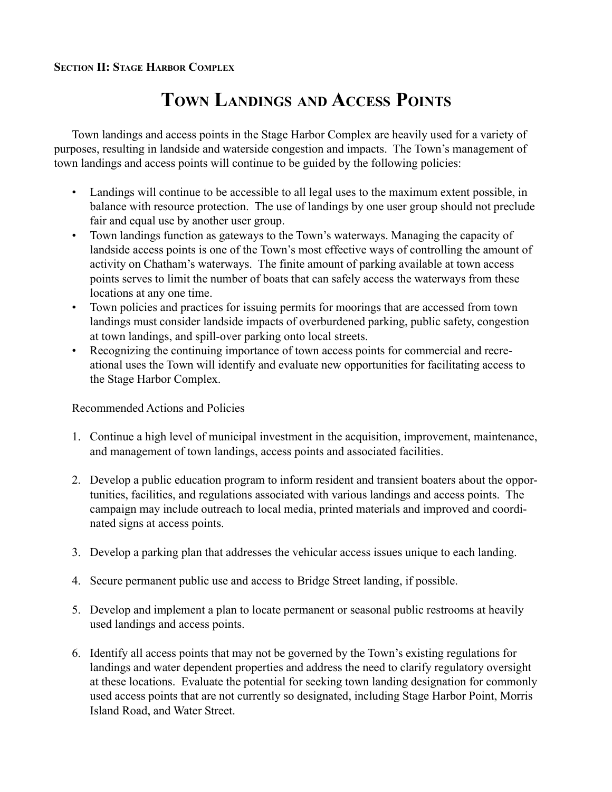# TOWN LANDINGS AND ACCESS POINTS

Town landings and access points in the Stage Harbor Complex are heavily used for a variety of purposes, resulting in landside and waterside congestion and impacts. The Town's management of town landings and access points will continue to be guided by the following policies:

- Landings will continue to be accessible to all legal uses to the maximum extent possible, in balance with resource protection. The use of landings by one user group should not preclude fair and equal use by another user group.
- Town landings function as gateways to the Town's waterways. Managing the capacity of landside access points is one of the Town's most effective ways of controlling the amount of activity on Chatham's waterways. The finite amount of parking available at town access points serves to limit the number of boats that can safely access the waterways from these locations at any one time.
- Town policies and practices for issuing permits for moorings that are accessed from town landings must consider landside impacts of overburdened parking, public safety, congestion at town landings, and spill-over parking onto local streets.
- Recognizing the continuing importance of town access points for commercial and recreational uses the Town will identify and evaluate new opportunities for facilitating access to the Stage Harbor Complex.

- 1. Continue a high level of municipal investment in the acquisition, improvement, maintenance, and management of town landings, access points and associated facilities.
- 2. Develop a public education program to inform resident and transient boaters about the opportunities, facilities, and regulations associated with various landings and access points. The campaign may include outreach to local media, printed materials and improved and coordinated signs at access points.
- 3. Develop a parking plan that addresses the vehicular access issues unique to each landing.
- 4. Secure permanent public use and access to Bridge Street landing, if possible.
- 5. Develop and implement a plan to locate permanent or seasonal public restrooms at heavily used landings and access points.
- 6. Identify all access points that may not be governed by the Town's existing regulations for landings and water dependent properties and address the need to clarify regulatory oversight at these locations. Evaluate the potential for seeking town landing designation for commonly used access points that are not currently so designated, including Stage Harbor Point, Morris Island Road, and Water Street.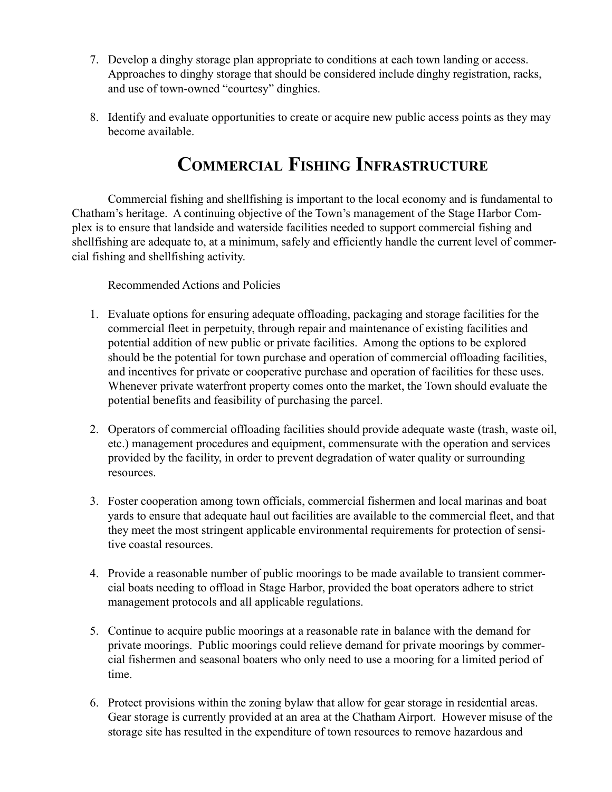- 7. Develop a dinghy storage plan appropriate to conditions at each town landing or access. Approaches to dinghy storage that should be considered include dinghy registration, racks, and use of town-owned "courtesy" dinghies.
- 8. Identify and evaluate opportunities to create or acquire new public access points as they may become available.

# COMMERCIAL FISHING INFRASTRUCTURE

Commercial fishing and shellfishing is important to the local economy and is fundamental to Chatham's heritage. A continuing objective of the Town's management of the Stage Harbor Complex is to ensure that landside and waterside facilities needed to support commercial fishing and shellfishing are adequate to, at a minimum, safely and efficiently handle the current level of commercial fishing and shellfishing activity.

- 1. Evaluate options for ensuring adequate offloading, packaging and storage facilities for the commercial fleet in perpetuity, through repair and maintenance of existing facilities and potential addition of new public or private facilities. Among the options to be explored should be the potential for town purchase and operation of commercial offloading facilities, and incentives for private or cooperative purchase and operation of facilities for these uses. Whenever private waterfront property comes onto the market, the Town should evaluate the potential benefits and feasibility of purchasing the parcel.
- 2. Operators of commercial offloading facilities should provide adequate waste (trash, waste oil, etc.) management procedures and equipment, commensurate with the operation and services provided by the facility, in order to prevent degradation of water quality or surrounding resources.
- 3. Foster cooperation among town officials, commercial fishermen and local marinas and boat yards to ensure that adequate haul out facilities are available to the commercial fleet, and that they meet the most stringent applicable environmental requirements for protection of sensitive coastal resources.
- 4. Provide a reasonable number of public moorings to be made available to transient commercial boats needing to offload in Stage Harbor, provided the boat operators adhere to strict management protocols and all applicable regulations.
- 5. Continue to acquire public moorings at a reasonable rate in balance with the demand for private moorings. Public moorings could relieve demand for private moorings by commercial fishermen and seasonal boaters who only need to use a mooring for a limited period of time.
- 6. Protect provisions within the zoning bylaw that allow for gear storage in residential areas. Gear storage is currently provided at an area at the Chatham Airport. However misuse of the storage site has resulted in the expenditure of town resources to remove hazardous and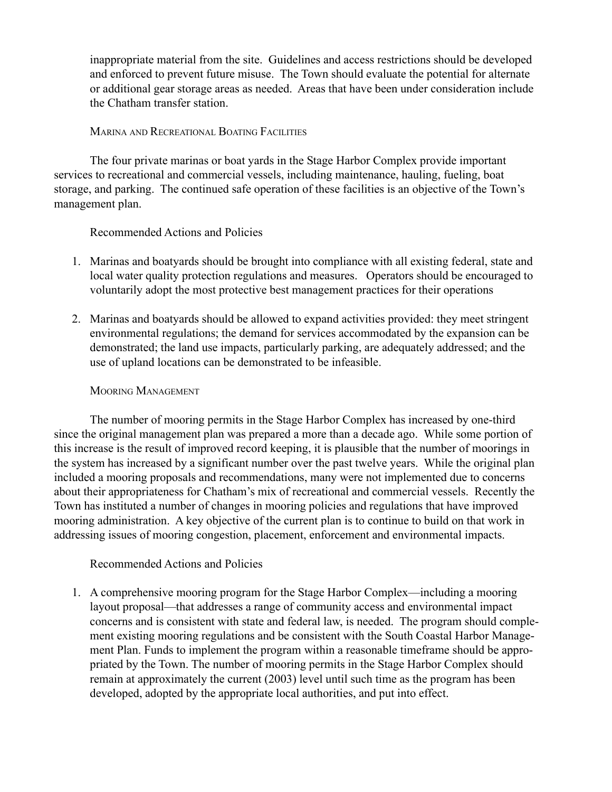inappropriate material from the site. Guidelines and access restrictions should be developed and enforced to prevent future misuse. The Town should evaluate the potential for alternate or additional gear storage areas as needed. Areas that have been under consideration include the Chatham transfer station.

#### MARINA AND RECREATIONAL BOATING FACILITIES

The four private marinas or boat yards in the Stage Harbor Complex provide important services to recreational and commercial vessels, including maintenance, hauling, fueling, boat storage, and parking. The continued safe operation of these facilities is an objective of the Town's management plan.

#### Recommended Actions and Policies

- 1. Marinas and boatyards should be brought into compliance with all existing federal, state and local water quality protection regulations and measures. Operators should be encouraged to voluntarily adopt the most protective best management practices for their operations
- 2. Marinas and boatyards should be allowed to expand activities provided: they meet stringent environmental regulations; the demand for services accommodated by the expansion can be demonstrated; the land use impacts, particularly parking, are adequately addressed; and the use of upland locations can be demonstrated to be infeasible.

#### MOORING MANAGEMENT

The number of mooring permits in the Stage Harbor Complex has increased by one-third since the original management plan was prepared a more than a decade ago. While some portion of this increase is the result of improved record keeping, it is plausible that the number of moorings in the system has increased by a significant number over the past twelve years. While the original plan included a mooring proposals and recommendations, many were not implemented due to concerns about their appropriateness for Chatham's mix of recreational and commercial vessels. Recently the Town has instituted a number of changes in mooring policies and regulations that have improved mooring administration. A key objective of the current plan is to continue to build on that work in addressing issues of mooring congestion, placement, enforcement and environmental impacts.

## Recommended Actions and Policies

1. A comprehensive mooring program for the Stage Harbor Complex—including a mooring layout proposal—that addresses a range of community access and environmental impact concerns and is consistent with state and federal law, is needed. The program should complement existing mooring regulations and be consistent with the South Coastal Harbor Management Plan. Funds to implement the program within a reasonable timeframe should be appropriated by the Town. The number of mooring permits in the Stage Harbor Complex should remain at approximately the current (2003) level until such time as the program has been developed, adopted by the appropriate local authorities, and put into effect.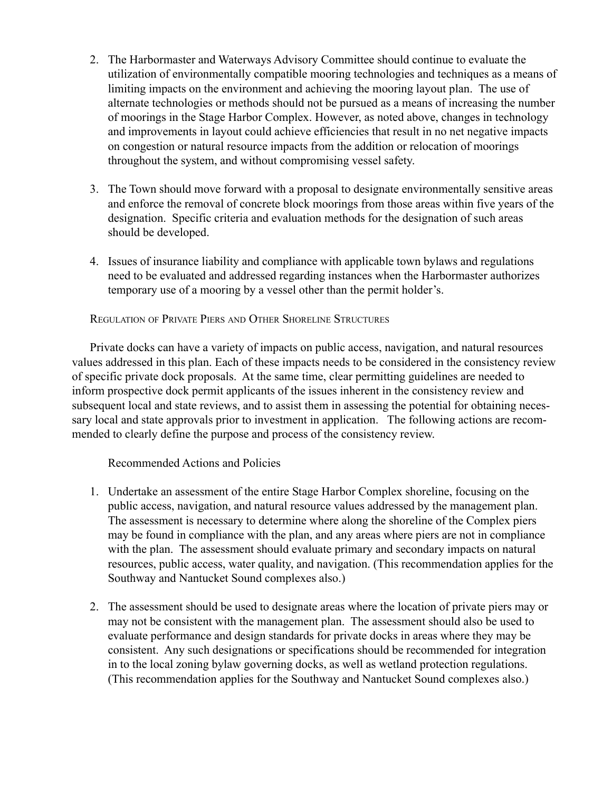- 2. The Harbormaster and Waterways Advisory Committee should continue to evaluate the utilization of environmentally compatible mooring technologies and techniques as a means of limiting impacts on the environment and achieving the mooring layout plan. The use of alternate technologies or methods should not be pursued as a means of increasing the number of moorings in the Stage Harbor Complex. However, as noted above, changes in technology and improvements in layout could achieve efficiencies that result in no net negative impacts on congestion or natural resource impacts from the addition or relocation of moorings throughout the system, and without compromising vessel safety.
- 3. The Town should move forward with a proposal to designate environmentally sensitive areas and enforce the removal of concrete block moorings from those areas within five years of the designation. Specific criteria and evaluation methods for the designation of such areas should be developed.
- 4. Issues of insurance liability and compliance with applicable town bylaws and regulations need to be evaluated and addressed regarding instances when the Harbormaster authorizes temporary use of a mooring by a vessel other than the permit holder's.

REGULATION OF PRIVATE PIERS AND OTHER SHORELINE STRUCTURES

Private docks can have a variety of impacts on public access, navigation, and natural resources values addressed in this plan. Each of these impacts needs to be considered in the consistency review of specific private dock proposals. At the same time, clear permitting guidelines are needed to inform prospective dock permit applicants of the issues inherent in the consistency review and subsequent local and state reviews, and to assist them in assessing the potential for obtaining necessary local and state approvals prior to investment in application. The following actions are recommended to clearly define the purpose and process of the consistency review.

- 1. Undertake an assessment of the entire Stage Harbor Complex shoreline, focusing on the public access, navigation, and natural resource values addressed by the management plan. The assessment is necessary to determine where along the shoreline of the Complex piers may be found in compliance with the plan, and any areas where piers are not in compliance with the plan. The assessment should evaluate primary and secondary impacts on natural resources, public access, water quality, and navigation. (This recommendation applies for the Southway and Nantucket Sound complexes also.)
- 2. The assessment should be used to designate areas where the location of private piers may or may not be consistent with the management plan. The assessment should also be used to evaluate performance and design standards for private docks in areas where they may be consistent. Any such designations or specifications should be recommended for integration in to the local zoning bylaw governing docks, as well as wetland protection regulations. (This recommendation applies for the Southway and Nantucket Sound complexes also.)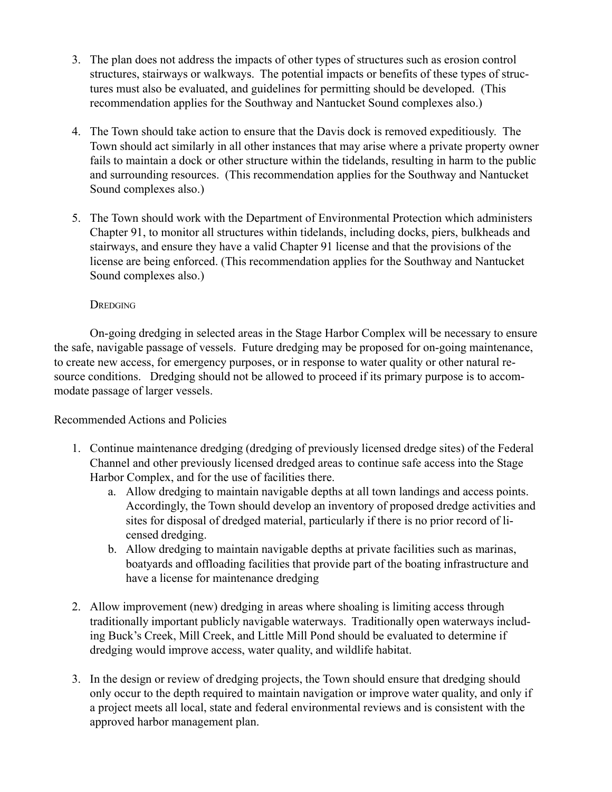- 3. The plan does not address the impacts of other types of structures such as erosion control structures, stairways or walkways. The potential impacts or benefits of these types of structures must also be evaluated, and guidelines for permitting should be developed. (This recommendation applies for the Southway and Nantucket Sound complexes also.)
- 4. The Town should take action to ensure that the Davis dock is removed expeditiously. The Town should act similarly in all other instances that may arise where a private property owner fails to maintain a dock or other structure within the tidelands, resulting in harm to the public and surrounding resources. (This recommendation applies for the Southway and Nantucket Sound complexes also.)
- 5. The Town should work with the Department of Environmental Protection which administers Chapter 91, to monitor all structures within tidelands, including docks, piers, bulkheads and stairways, and ensure they have a valid Chapter 91 license and that the provisions of the license are being enforced. (This recommendation applies for the Southway and Nantucket Sound complexes also.)

## **DREDGING**

On-going dredging in selected areas in the Stage Harbor Complex will be necessary to ensure the safe, navigable passage of vessels. Future dredging may be proposed for on-going maintenance, to create new access, for emergency purposes, or in response to water quality or other natural resource conditions. Dredging should not be allowed to proceed if its primary purpose is to accommodate passage of larger vessels.

- 1. Continue maintenance dredging (dredging of previously licensed dredge sites) of the Federal Channel and other previously licensed dredged areas to continue safe access into the Stage Harbor Complex, and for the use of facilities there.
	- a. Allow dredging to maintain navigable depths at all town landings and access points. Accordingly, the Town should develop an inventory of proposed dredge activities and sites for disposal of dredged material, particularly if there is no prior record of licensed dredging.
	- b. Allow dredging to maintain navigable depths at private facilities such as marinas, boatyards and offloading facilities that provide part of the boating infrastructure and have a license for maintenance dredging
- 2. Allow improvement (new) dredging in areas where shoaling is limiting access through traditionally important publicly navigable waterways. Traditionally open waterways including Buck's Creek, Mill Creek, and Little Mill Pond should be evaluated to determine if dredging would improve access, water quality, and wildlife habitat.
- 3. In the design or review of dredging projects, the Town should ensure that dredging should only occur to the depth required to maintain navigation or improve water quality, and only if a project meets all local, state and federal environmental reviews and is consistent with the approved harbor management plan.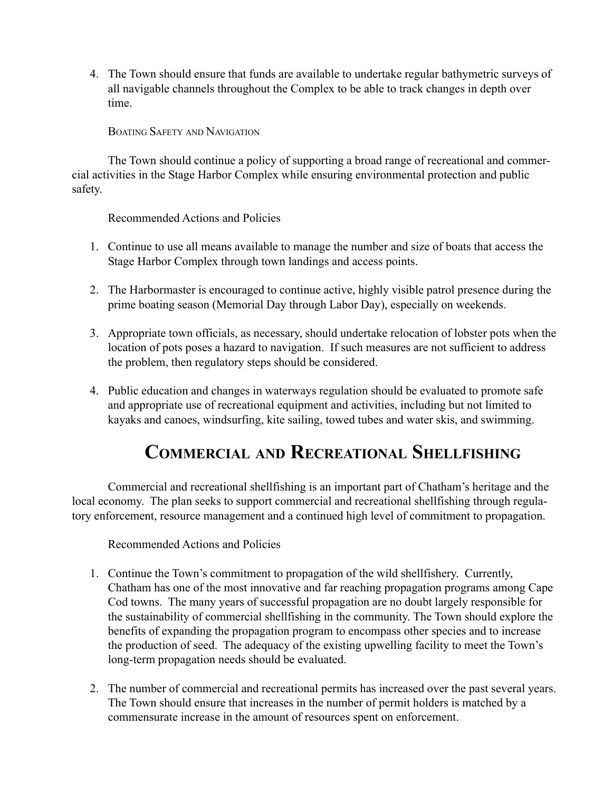4. The Town should ensure that funds are available to undertake regular bathymetric surveys of all navigable channels throughout the Complex to be able to track changes in depth over time.

BOATING SAFETY AND NAVIGATION

The Town should continue a policy of supporting a broad range of recreational and commercial activities in the Stage Harbor Complex while ensuring environmental protection and public safety.

Recommended Actions and Policies

- 1. Continue to use all means available to manage the number and size of boats that access the Stage Harbor Complex through town landings and access points.
- 2. The Harbormaster is encouraged to continue active, highly visible patrol presence during the prime boating season (Memorial Day through Labor Day), especially on weekends.
- 3. Appropriate town officials, as necessary, should undertake relocation of lobster pots when the location of pots poses a hazard to navigation. If such measures are not sufficient to address the problem, then regulatory steps should be considered.
- 4. Public education and changes in waterways regulation should be evaluated to promote safe and appropriate use of recreational equipment and activities, including but not limited to kayaks and canoes, windsurfing, kite sailing, towed tubes and water skis, and swimming.

# COMMERCIAL AND RECREATIONAL SHELLFISHING

Commercial and recreational shellfishing is an important part of Chatham's heritage and the local economy. The plan seeks to support commercial and recreational shellfishing through regulatory enforcement, resource management and a continued high level of commitment to propagation.

- 1. Continue the Town's commitment to propagation of the wild shellfishery. Currently, Chatham has one of the most innovative and far reaching propagation programs among Cape Cod towns. The many years of successful propagation are no doubt largely responsible for the sustainability of commercial shellfishing in the community. The Town should explore the benefits of expanding the propagation program to encompass other species and to increase the production of seed. The adequacy of the existing upwelling facility to meet the Town's long-term propagation needs should be evaluated.
- 2. The number of commercial and recreational permits has increased over the past several years. The Town should ensure that increases in the number of permit holders is matched by a commensurate increase in the amount of resources spent on enforcement.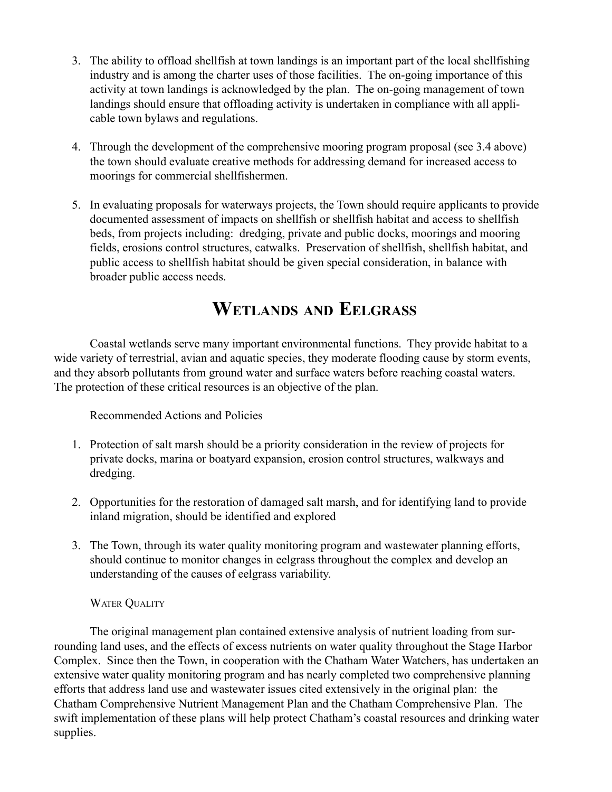- 3. The ability to offload shellfish at town landings is an important part of the local shellfishing industry and is among the charter uses of those facilities. The on-going importance of this activity at town landings is acknowledged by the plan. The on-going management of town landings should ensure that offloading activity is undertaken in compliance with all applicable town bylaws and regulations.
- 4. Through the development of the comprehensive mooring program proposal (see 3.4 above) the town should evaluate creative methods for addressing demand for increased access to moorings for commercial shellfishermen.
- 5. In evaluating proposals for waterways projects, the Town should require applicants to provide documented assessment of impacts on shellfish or shellfish habitat and access to shellfish beds, from projects including: dredging, private and public docks, moorings and mooring fields, erosions control structures, catwalks. Preservation of shellfish, shellfish habitat, and public access to shellfish habitat should be given special consideration, in balance with broader public access needs.

# WETLANDS AND EELGRASS

Coastal wetlands serve many important environmental functions. They provide habitat to a wide variety of terrestrial, avian and aquatic species, they moderate flooding cause by storm events, and they absorb pollutants from ground water and surface waters before reaching coastal waters. The protection of these critical resources is an objective of the plan.

Recommended Actions and Policies

- 1. Protection of salt marsh should be a priority consideration in the review of projects for private docks, marina or boatyard expansion, erosion control structures, walkways and dredging.
- 2. Opportunities for the restoration of damaged salt marsh, and for identifying land to provide inland migration, should be identified and explored
- 3. The Town, through its water quality monitoring program and wastewater planning efforts, should continue to monitor changes in eelgrass throughout the complex and develop an understanding of the causes of eelgrass variability.

# WATER QUALITY

The original management plan contained extensive analysis of nutrient loading from surrounding land uses, and the effects of excess nutrients on water quality throughout the Stage Harbor Complex. Since then the Town, in cooperation with the Chatham Water Watchers, has undertaken an extensive water quality monitoring program and has nearly completed two comprehensive planning efforts that address land use and wastewater issues cited extensively in the original plan: the Chatham Comprehensive Nutrient Management Plan and the Chatham Comprehensive Plan. The swift implementation of these plans will help protect Chatham's coastal resources and drinking water supplies.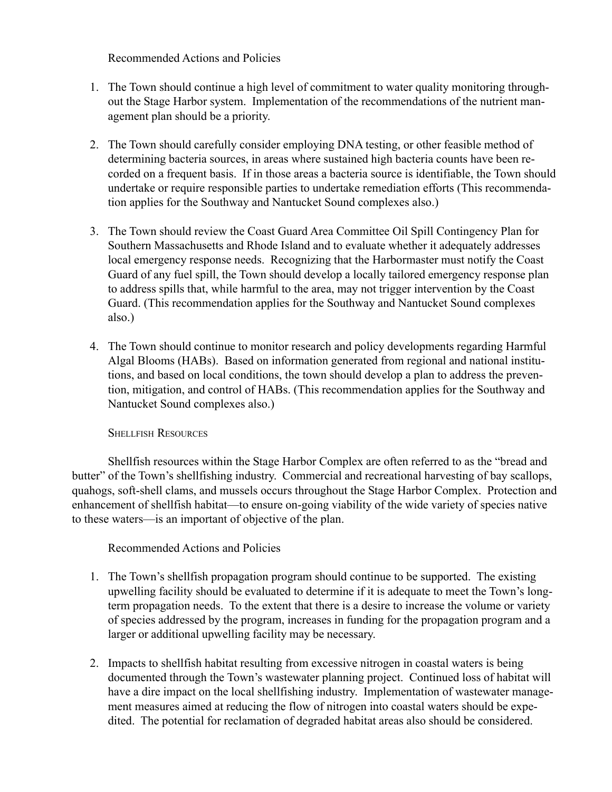Recommended Actions and Policies

- 1. The Town should continue a high level of commitment to water quality monitoring throughout the Stage Harbor system. Implementation of the recommendations of the nutrient management plan should be a priority.
- 2. The Town should carefully consider employing DNA testing, or other feasible method of determining bacteria sources, in areas where sustained high bacteria counts have been recorded on a frequent basis. If in those areas a bacteria source is identifiable, the Town should undertake or require responsible parties to undertake remediation efforts (This recommendation applies for the Southway and Nantucket Sound complexes also.)
- 3. The Town should review the Coast Guard Area Committee Oil Spill Contingency Plan for Southern Massachusetts and Rhode Island and to evaluate whether it adequately addresses local emergency response needs. Recognizing that the Harbormaster must notify the Coast Guard of any fuel spill, the Town should develop a locally tailored emergency response plan to address spills that, while harmful to the area, may not trigger intervention by the Coast Guard. (This recommendation applies for the Southway and Nantucket Sound complexes also.)
- 4. The Town should continue to monitor research and policy developments regarding Harmful Algal Blooms (HABs). Based on information generated from regional and national institutions, and based on local conditions, the town should develop a plan to address the prevention, mitigation, and control of HABs. (This recommendation applies for the Southway and Nantucket Sound complexes also.)

SHELLFISH RESOURCES

Shellfish resources within the Stage Harbor Complex are often referred to as the "bread and butter" of the Town's shellfishing industry. Commercial and recreational harvesting of bay scallops, quahogs, soft-shell clams, and mussels occurs throughout the Stage Harbor Complex. Protection and enhancement of shellfish habitat—to ensure on-going viability of the wide variety of species native to these waters—is an important of objective of the plan.

- 1. The Town's shellfish propagation program should continue to be supported. The existing upwelling facility should be evaluated to determine if it is adequate to meet the Town's longterm propagation needs. To the extent that there is a desire to increase the volume or variety of species addressed by the program, increases in funding for the propagation program and a larger or additional upwelling facility may be necessary.
- 2. Impacts to shellfish habitat resulting from excessive nitrogen in coastal waters is being documented through the Town's wastewater planning project. Continued loss of habitat will have a dire impact on the local shellfishing industry. Implementation of wastewater management measures aimed at reducing the flow of nitrogen into coastal waters should be expedited. The potential for reclamation of degraded habitat areas also should be considered.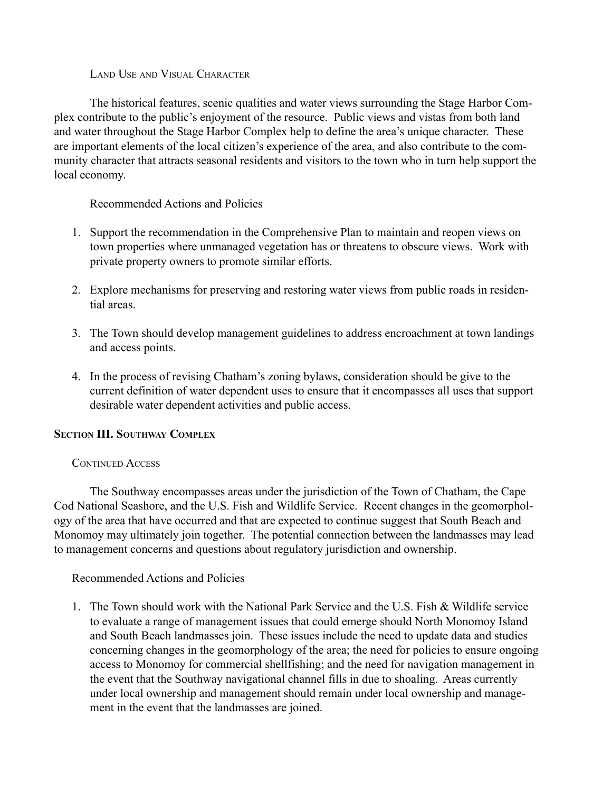LAND USE AND VISUAL CHARACTER

The historical features, scenic qualities and water views surrounding the Stage Harbor Complex contribute to the public's enjoyment of the resource. Public views and vistas from both land and water throughout the Stage Harbor Complex help to define the area's unique character. These are important elements of the local citizen's experience of the area, and also contribute to the community character that attracts seasonal residents and visitors to the town who in turn help support the local economy.

Recommended Actions and Policies

- 1. Support the recommendation in the Comprehensive Plan to maintain and reopen views on town properties where unmanaged vegetation has or threatens to obscure views. Work with private property owners to promote similar efforts.
- 2. Explore mechanisms for preserving and restoring water views from public roads in residential areas.
- 3. The Town should develop management guidelines to address encroachment at town landings and access points.
- 4. In the process of revising Chathamís zoning bylaws, consideration should be give to the current definition of water dependent uses to ensure that it encompasses all uses that support desirable water dependent activities and public access.

## SECTION **III.** SOUTHWAY COMPLEX

## CONTINUED ACCESS

The Southway encompasses areas under the jurisdiction of the Town of Chatham, the Cape Cod National Seashore, and the U.S. Fish and Wildlife Service. Recent changes in the geomorphology of the area that have occurred and that are expected to continue suggest that South Beach and Monomoy may ultimately join together. The potential connection between the landmasses may lead to management concerns and questions about regulatory jurisdiction and ownership.

# Recommended Actions and Policies

1. The Town should work with the National Park Service and the U.S. Fish & Wildlife service to evaluate a range of management issues that could emerge should North Monomoy Island and South Beach landmasses join. These issues include the need to update data and studies concerning changes in the geomorphology of the area; the need for policies to ensure ongoing access to Monomoy for commercial shellfishing; and the need for navigation management in the event that the Southway navigational channel fills in due to shoaling. Areas currently under local ownership and management should remain under local ownership and management in the event that the landmasses are joined.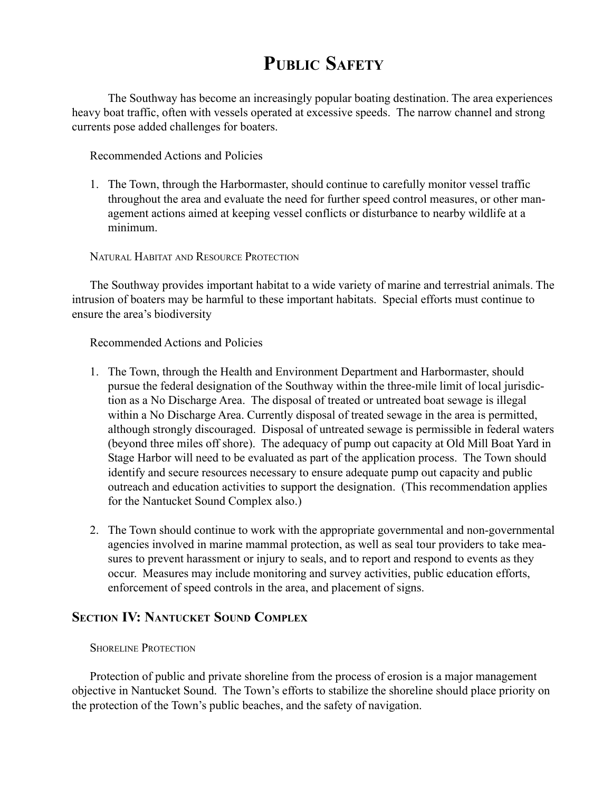# PUBLIC SAFETY

The Southway has become an increasingly popular boating destination. The area experiences heavy boat traffic, often with vessels operated at excessive speeds. The narrow channel and strong currents pose added challenges for boaters.

Recommended Actions and Policies

1. The Town, through the Harbormaster, should continue to carefully monitor vessel traffic throughout the area and evaluate the need for further speed control measures, or other management actions aimed at keeping vessel conflicts or disturbance to nearby wildlife at a minimum.

NATURAL HABITAT AND RESOURCE PROTECTION

The Southway provides important habitat to a wide variety of marine and terrestrial animals. The intrusion of boaters may be harmful to these important habitats. Special efforts must continue to ensure the area's biodiversity

Recommended Actions and Policies

- 1. The Town, through the Health and Environment Department and Harbormaster, should pursue the federal designation of the Southway within the three-mile limit of local jurisdiction as a No Discharge Area. The disposal of treated or untreated boat sewage is illegal within a No Discharge Area. Currently disposal of treated sewage in the area is permitted, although strongly discouraged. Disposal of untreated sewage is permissible in federal waters (beyond three miles off shore). The adequacy of pump out capacity at Old Mill Boat Yard in Stage Harbor will need to be evaluated as part of the application process. The Town should identify and secure resources necessary to ensure adequate pump out capacity and public outreach and education activities to support the designation. (This recommendation applies for the Nantucket Sound Complex also.)
- 2. The Town should continue to work with the appropriate governmental and non-governmental agencies involved in marine mammal protection, as well as seal tour providers to take measures to prevent harassment or injury to seals, and to report and respond to events as they occur. Measures may include monitoring and survey activities, public education efforts, enforcement of speed controls in the area, and placement of signs.

# SECTION IV: NANTUCKET SOUND COMPLEX

#### SHORELINE PROTECTION

Protection of public and private shoreline from the process of erosion is a major management objective in Nantucket Sound. The Town's efforts to stabilize the shoreline should place priority on the protection of the Town's public beaches, and the safety of navigation.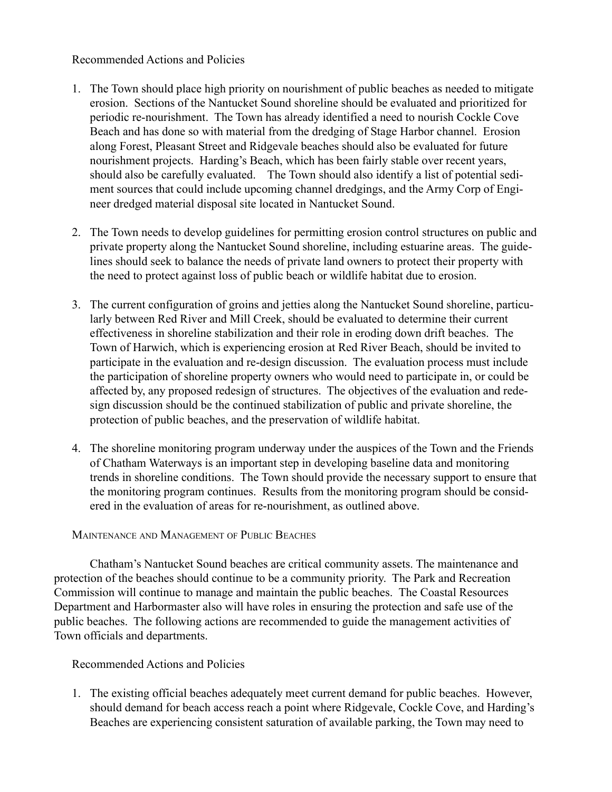#### Recommended Actions and Policies

- 1. The Town should place high priority on nourishment of public beaches as needed to mitigate erosion. Sections of the Nantucket Sound shoreline should be evaluated and prioritized for periodic re-nourishment. The Town has already identified a need to nourish Cockle Cove Beach and has done so with material from the dredging of Stage Harbor channel. Erosion along Forest, Pleasant Street and Ridgevale beaches should also be evaluated for future nourishment projects. Harding's Beach, which has been fairly stable over recent years, should also be carefully evaluated. The Town should also identify a list of potential sediment sources that could include upcoming channel dredgings, and the Army Corp of Engineer dredged material disposal site located in Nantucket Sound.
- 2. The Town needs to develop guidelines for permitting erosion control structures on public and private property along the Nantucket Sound shoreline, including estuarine areas. The guidelines should seek to balance the needs of private land owners to protect their property with the need to protect against loss of public beach or wildlife habitat due to erosion.
- 3. The current configuration of groins and jetties along the Nantucket Sound shoreline, particularly between Red River and Mill Creek, should be evaluated to determine their current effectiveness in shoreline stabilization and their role in eroding down drift beaches. The Town of Harwich, which is experiencing erosion at Red River Beach, should be invited to participate in the evaluation and re-design discussion. The evaluation process must include the participation of shoreline property owners who would need to participate in, or could be affected by, any proposed redesign of structures. The objectives of the evaluation and redesign discussion should be the continued stabilization of public and private shoreline, the protection of public beaches, and the preservation of wildlife habitat.
- 4. The shoreline monitoring program underway under the auspices of the Town and the Friends of Chatham Waterways is an important step in developing baseline data and monitoring trends in shoreline conditions. The Town should provide the necessary support to ensure that the monitoring program continues. Results from the monitoring program should be considered in the evaluation of areas for re-nourishment, as outlined above.

## MAINTENANCE AND MANAGEMENT OF PUBLIC BEACHES

Chathamís Nantucket Sound beaches are critical community assets. The maintenance and protection of the beaches should continue to be a community priority. The Park and Recreation Commission will continue to manage and maintain the public beaches. The Coastal Resources Department and Harbormaster also will have roles in ensuring the protection and safe use of the public beaches. The following actions are recommended to guide the management activities of Town officials and departments.

## Recommended Actions and Policies

1. The existing official beaches adequately meet current demand for public beaches. However, should demand for beach access reach a point where Ridgevale, Cockle Cove, and Harding's Beaches are experiencing consistent saturation of available parking, the Town may need to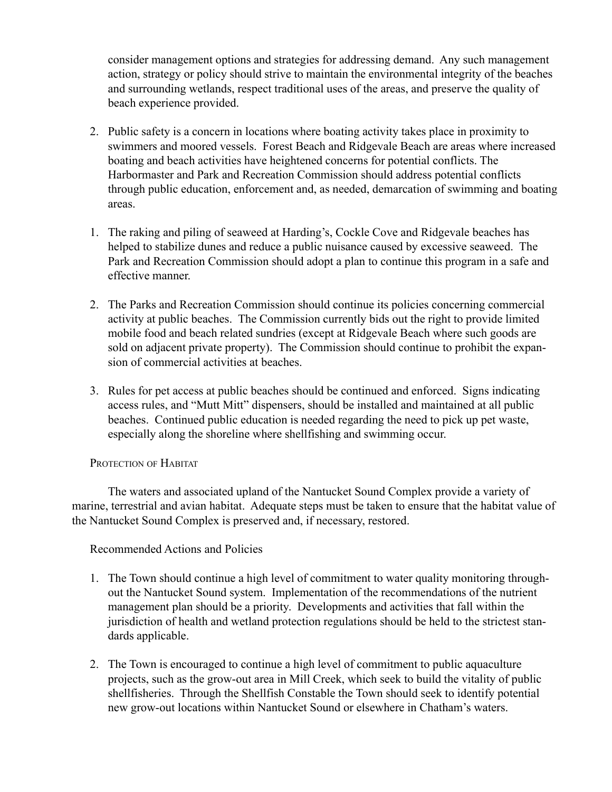consider management options and strategies for addressing demand. Any such management action, strategy or policy should strive to maintain the environmental integrity of the beaches and surrounding wetlands, respect traditional uses of the areas, and preserve the quality of beach experience provided.

- 2. Public safety is a concern in locations where boating activity takes place in proximity to swimmers and moored vessels. Forest Beach and Ridgevale Beach are areas where increased boating and beach activities have heightened concerns for potential conflicts. The Harbormaster and Park and Recreation Commission should address potential conflicts through public education, enforcement and, as needed, demarcation of swimming and boating areas.
- 1. The raking and piling of seaweed at Harding's, Cockle Cove and Ridgevale beaches has helped to stabilize dunes and reduce a public nuisance caused by excessive seaweed. The Park and Recreation Commission should adopt a plan to continue this program in a safe and effective manner.
- 2. The Parks and Recreation Commission should continue its policies concerning commercial activity at public beaches. The Commission currently bids out the right to provide limited mobile food and beach related sundries (except at Ridgevale Beach where such goods are sold on adjacent private property). The Commission should continue to prohibit the expansion of commercial activities at beaches.
- 3. Rules for pet access at public beaches should be continued and enforced. Signs indicating access rules, and "Mutt Mitt" dispensers, should be installed and maintained at all public beaches. Continued public education is needed regarding the need to pick up pet waste, especially along the shoreline where shellfishing and swimming occur.

## PROTECTION OF HABITAT

The waters and associated upland of the Nantucket Sound Complex provide a variety of marine, terrestrial and avian habitat. Adequate steps must be taken to ensure that the habitat value of the Nantucket Sound Complex is preserved and, if necessary, restored.

- 1. The Town should continue a high level of commitment to water quality monitoring throughout the Nantucket Sound system. Implementation of the recommendations of the nutrient management plan should be a priority. Developments and activities that fall within the jurisdiction of health and wetland protection regulations should be held to the strictest standards applicable.
- 2. The Town is encouraged to continue a high level of commitment to public aquaculture projects, such as the grow-out area in Mill Creek, which seek to build the vitality of public shellfisheries. Through the Shellfish Constable the Town should seek to identify potential new grow-out locations within Nantucket Sound or elsewhere in Chatham's waters.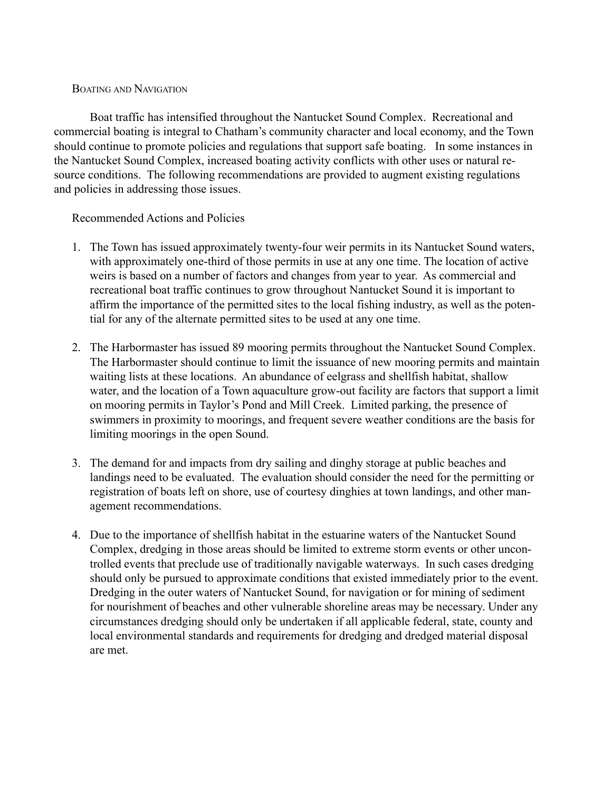#### BOATING AND NAVIGATION

Boat traffic has intensified throughout the Nantucket Sound Complex. Recreational and commercial boating is integral to Chatham's community character and local economy, and the Town should continue to promote policies and regulations that support safe boating. In some instances in the Nantucket Sound Complex, increased boating activity conflicts with other uses or natural resource conditions. The following recommendations are provided to augment existing regulations and policies in addressing those issues.

- 1. The Town has issued approximately twenty-four weir permits in its Nantucket Sound waters, with approximately one-third of those permits in use at any one time. The location of active weirs is based on a number of factors and changes from year to year. As commercial and recreational boat traffic continues to grow throughout Nantucket Sound it is important to affirm the importance of the permitted sites to the local fishing industry, as well as the potential for any of the alternate permitted sites to be used at any one time.
- 2. The Harbormaster has issued 89 mooring permits throughout the Nantucket Sound Complex. The Harbormaster should continue to limit the issuance of new mooring permits and maintain waiting lists at these locations. An abundance of eelgrass and shellfish habitat, shallow water, and the location of a Town aquaculture grow-out facility are factors that support a limit on mooring permits in Taylor's Pond and Mill Creek. Limited parking, the presence of swimmers in proximity to moorings, and frequent severe weather conditions are the basis for limiting moorings in the open Sound.
- 3. The demand for and impacts from dry sailing and dinghy storage at public beaches and landings need to be evaluated. The evaluation should consider the need for the permitting or registration of boats left on shore, use of courtesy dinghies at town landings, and other management recommendations.
- 4. Due to the importance of shellfish habitat in the estuarine waters of the Nantucket Sound Complex, dredging in those areas should be limited to extreme storm events or other uncontrolled events that preclude use of traditionally navigable waterways. In such cases dredging should only be pursued to approximate conditions that existed immediately prior to the event. Dredging in the outer waters of Nantucket Sound, for navigation or for mining of sediment for nourishment of beaches and other vulnerable shoreline areas may be necessary. Under any circumstances dredging should only be undertaken if all applicable federal, state, county and local environmental standards and requirements for dredging and dredged material disposal are met.